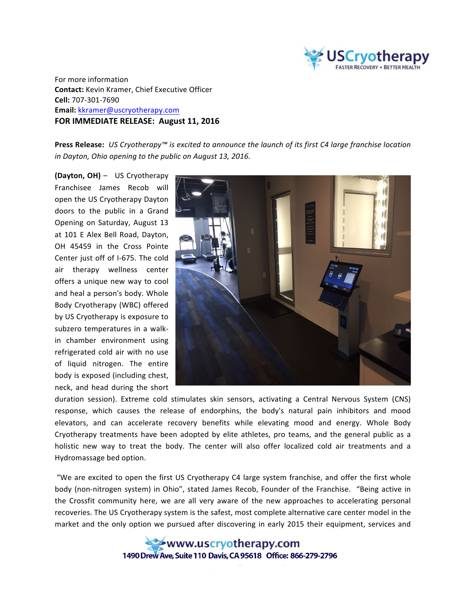

For more information **Contact:** Kevin Kramer, Chief Executive Officer **Cell:** 707-301-7690 **Email:** kkramer@uscryotherapy.com **FOR IMMEDIATE RELEASE: August 11, 2016** 

**Press Release:** *US Cryotherapy™* is excited to announce the launch of its first C4 large franchise location *in Dayton, Ohio opening to the public on August 13, 2016.*

**(Dayton, OH)** – US Cryotherapy Franchisee James Recob will open the US Cryotherapy Dayton doors to the public in a Grand Opening on Saturday, August 13 at 101 E Alex Bell Road, Dayton, OH 45459 in the Cross Pointe Center just off of I-675. The cold air therapy wellness center offers a unique new way to cool and heal a person's body. Whole Body Cryotherapy (WBC) offered by US Cryotherapy is exposure to subzero temperatures in a walkin chamber environment using refrigerated cold air with no use of liquid nitrogen. The entire body is exposed (including chest, neck, and head during the short



duration session). Extreme cold stimulates skin sensors, activating a Central Nervous System (CNS) response, which causes the release of endorphins, the body's natural pain inhibitors and mood elevators, and can accelerate recovery benefits while elevating mood and energy. Whole Body Cryotherapy treatments have been adopted by elite athletes, pro teams, and the general public as a holistic new way to treat the body. The center will also offer localized cold air treatments and a Hydromassage bed option.

"We are excited to open the first US Cryotherapy C4 large system franchise, and offer the first whole body (non-nitrogen system) in Ohio", stated James Recob, Founder of the Franchise. "Being active in the Crossfit community here, we are all very aware of the new approaches to accelerating personal recoveries. The US Cryotherapy system is the safest, most complete alternative care center model in the market and the only option we pursued after discovering in early 2015 their equipment, services and

> www.uscryotherapy.com 1490 Drew Ave, Suite 110 Davis, CA 95618 Office: 866-279-2796